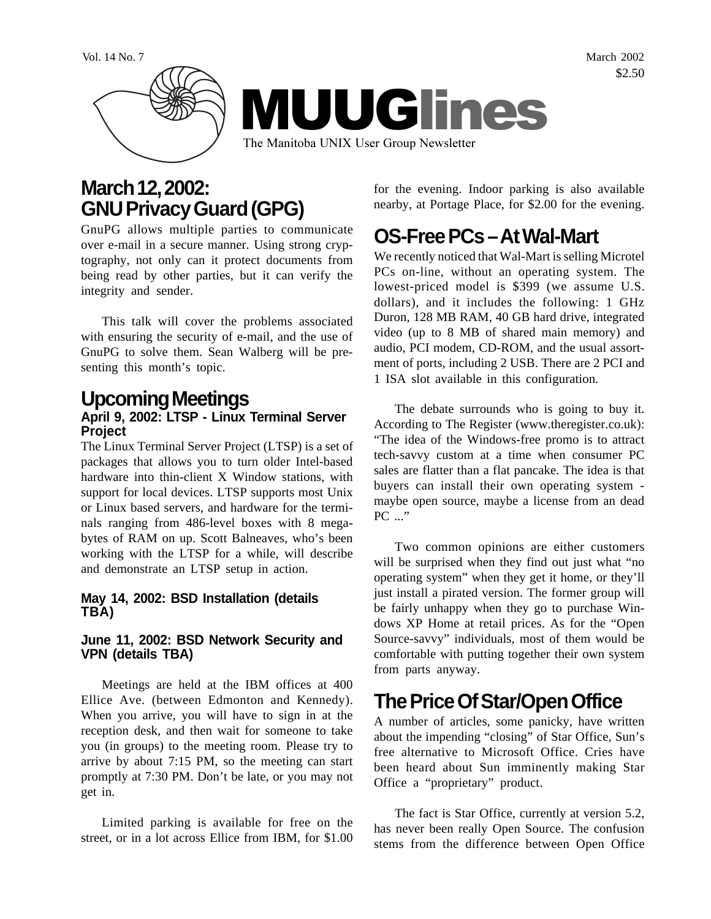Vol. 14 No. 7 March 2002 \$2.50



# **March 12, 2002: GNU Privacy Guard (GPG)**

GnuPG allows multiple parties to communicate over e-mail in a secure manner. Using strong cryptography, not only can it protect documents from being read by other parties, but it can verify the integrity and sender.

This talk will cover the problems associated with ensuring the security of e-mail, and the use of GnuPG to solve them. Sean Walberg will be presenting this month's topic.

## **Upcoming Meetings April 9, 2002: LTSP - Linux Terminal Server**

**Project** The Linux Terminal Server Project (LTSP) is a set of packages that allows you to turn older Intel-based hardware into thin-client X Window stations, with support for local devices. LTSP supports most Unix or Linux based servers, and hardware for the terminals ranging from 486-level boxes with 8 megabytes of RAM on up. Scott Balneaves, who's been working with the LTSP for a while, will describe

#### **May 14, 2002: BSD Installation (details TBA)**

and demonstrate an LTSP setup in action.

#### **June 11, 2002: BSD Network Security and VPN (details TBA)**

Meetings are held at the IBM offices at 400 Ellice Ave. (between Edmonton and Kennedy). When you arrive, you will have to sign in at the reception desk, and then wait for someone to take you (in groups) to the meeting room. Please try to arrive by about 7:15 PM, so the meeting can start promptly at 7:30 PM. Don't be late, or you may not get in.

Limited parking is available for free on the street, or in a lot across Ellice from IBM, for \$1.00 for the evening. Indoor parking is also available nearby, at Portage Place, for \$2.00 for the evening.

# **OS-Free PCs – At Wal-Mart**

We recently noticed that Wal-Mart is selling Microtel PCs on-line, without an operating system. The lowest-priced model is \$399 (we assume U.S. dollars), and it includes the following: 1 GHz Duron, 128 MB RAM, 40 GB hard drive, integrated video (up to 8 MB of shared main memory) and audio, PCI modem, CD-ROM, and the usual assortment of ports, including 2 USB. There are 2 PCI and 1 ISA slot available in this configuration.

The debate surrounds who is going to buy it. According to The Register (www.theregister.co.uk): "The idea of the Windows-free promo is to attract tech-savvy custom at a time when consumer PC sales are flatter than a flat pancake. The idea is that buyers can install their own operating system maybe open source, maybe a license from an dead PC ..."

Two common opinions are either customers will be surprised when they find out just what "no operating system" when they get it home, or they'll just install a pirated version. The former group will be fairly unhappy when they go to purchase Windows XP Home at retail prices. As for the "Open Source-savvy" individuals, most of them would be comfortable with putting together their own system from parts anyway.

# **The Price Of Star/Open Office**

A number of articles, some panicky, have written about the impending "closing" of Star Office, Sun's free alternative to Microsoft Office. Cries have been heard about Sun imminently making Star Office a "proprietary" product.

The fact is Star Office, currently at version 5.2, has never been really Open Source. The confusion stems from the difference between Open Office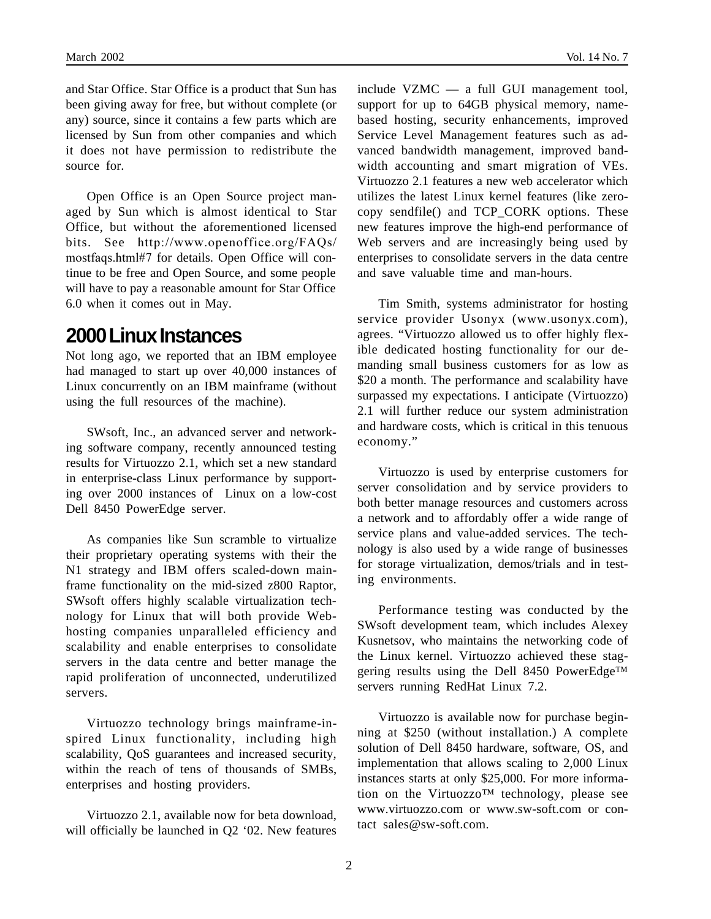and Star Office. Star Office is a product that Sun has been giving away for free, but without complete (or any) source, since it contains a few parts which are licensed by Sun from other companies and which it does not have permission to redistribute the source for.

Open Office is an Open Source project managed by Sun which is almost identical to Star Office, but without the aforementioned licensed bits. See http://www.openoffice.org/FAQs/ mostfaqs.html#7 for details. Open Office will continue to be free and Open Source, and some people will have to pay a reasonable amount for Star Office 6.0 when it comes out in May.

### **2000 Linux Instances**

Not long ago, we reported that an IBM employee had managed to start up over 40,000 instances of Linux concurrently on an IBM mainframe (without using the full resources of the machine).

SWsoft, Inc., an advanced server and networking software company, recently announced testing results for Virtuozzo 2.1, which set a new standard in enterprise-class Linux performance by supporting over 2000 instances of Linux on a low-cost Dell 8450 PowerEdge server.

As companies like Sun scramble to virtualize their proprietary operating systems with their the N1 strategy and IBM offers scaled-down mainframe functionality on the mid-sized z800 Raptor, SWsoft offers highly scalable virtualization technology for Linux that will both provide Webhosting companies unparalleled efficiency and scalability and enable enterprises to consolidate servers in the data centre and better manage the rapid proliferation of unconnected, underutilized servers.

Virtuozzo technology brings mainframe-inspired Linux functionality, including high scalability, QoS guarantees and increased security, within the reach of tens of thousands of SMBs, enterprises and hosting providers.

Virtuozzo 2.1, available now for beta download, will officially be launched in Q2 '02. New features include VZMC — a full GUI management tool, support for up to 64GB physical memory, namebased hosting, security enhancements, improved Service Level Management features such as advanced bandwidth management, improved bandwidth accounting and smart migration of VEs. Virtuozzo 2.1 features a new web accelerator which utilizes the latest Linux kernel features (like zerocopy sendfile() and TCP\_CORK options. These new features improve the high-end performance of Web servers and are increasingly being used by enterprises to consolidate servers in the data centre and save valuable time and man-hours.

Tim Smith, systems administrator for hosting service provider Usonyx (www.usonyx.com), agrees. "Virtuozzo allowed us to offer highly flexible dedicated hosting functionality for our demanding small business customers for as low as \$20 a month. The performance and scalability have surpassed my expectations. I anticipate (Virtuozzo) 2.1 will further reduce our system administration and hardware costs, which is critical in this tenuous economy."

Virtuozzo is used by enterprise customers for server consolidation and by service providers to both better manage resources and customers across a network and to affordably offer a wide range of service plans and value-added services. The technology is also used by a wide range of businesses for storage virtualization, demos/trials and in testing environments.

Performance testing was conducted by the SWsoft development team, which includes Alexey Kusnetsov, who maintains the networking code of the Linux kernel. Virtuozzo achieved these staggering results using the Dell 8450 PowerEdge™ servers running RedHat Linux 7.2.

Virtuozzo is available now for purchase beginning at \$250 (without installation.) A complete solution of Dell 8450 hardware, software, OS, and implementation that allows scaling to 2,000 Linux instances starts at only \$25,000. For more information on the Virtuozzo™ technology, please see www.virtuozzo.com or www.sw-soft.com or contact sales@sw-soft.com.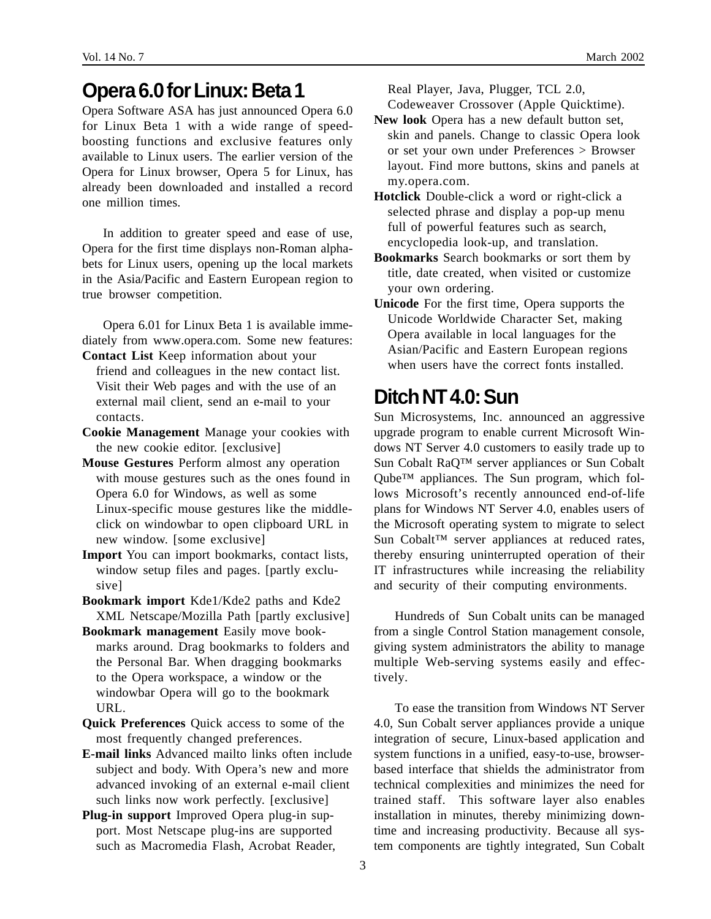## **Opera 6.0 for Linux: Beta 1**

Opera Software ASA has just announced Opera 6.0 for Linux Beta 1 with a wide range of speedboosting functions and exclusive features only available to Linux users. The earlier version of the Opera for Linux browser, Opera 5 for Linux, has already been downloaded and installed a record one million times.

In addition to greater speed and ease of use, Opera for the first time displays non-Roman alphabets for Linux users, opening up the local markets in the Asia/Pacific and Eastern European region to true browser competition.

Opera 6.01 for Linux Beta 1 is available immediately from www.opera.com. Some new features: **Contact List** Keep information about your

- friend and colleagues in the new contact list. Visit their Web pages and with the use of an external mail client, send an e-mail to your contacts.
- **Cookie Management** Manage your cookies with the new cookie editor. [exclusive]
- **Mouse Gestures** Perform almost any operation with mouse gestures such as the ones found in Opera 6.0 for Windows, as well as some Linux-specific mouse gestures like the middleclick on windowbar to open clipboard URL in new window. [some exclusive]
- **Import** You can import bookmarks, contact lists, window setup files and pages. [partly exclusive]
- **Bookmark import** Kde1/Kde2 paths and Kde2 XML Netscape/Mozilla Path [partly exclusive]
- **Bookmark management** Easily move bookmarks around. Drag bookmarks to folders and the Personal Bar. When dragging bookmarks to the Opera workspace, a window or the windowbar Opera will go to the bookmark URL.
- **Quick Preferences** Quick access to some of the most frequently changed preferences.
- **E-mail links** Advanced mailto links often include subject and body. With Opera's new and more advanced invoking of an external e-mail client such links now work perfectly. [exclusive]
- **Plug-in support** Improved Opera plug-in support. Most Netscape plug-ins are supported such as Macromedia Flash, Acrobat Reader,

Real Player, Java, Plugger, TCL 2.0, Codeweaver Crossover (Apple Quicktime).

- **New look** Opera has a new default button set, skin and panels. Change to classic Opera look or set your own under Preferences > Browser layout. Find more buttons, skins and panels at my.opera.com.
- **Hotclick** Double-click a word or right-click a selected phrase and display a pop-up menu full of powerful features such as search, encyclopedia look-up, and translation.
- **Bookmarks** Search bookmarks or sort them by title, date created, when visited or customize your own ordering.
- **Unicode** For the first time, Opera supports the Unicode Worldwide Character Set, making Opera available in local languages for the Asian/Pacific and Eastern European regions when users have the correct fonts installed.

# **Ditch NT 4.0: Sun**

Sun Microsystems, Inc. announced an aggressive upgrade program to enable current Microsoft Windows NT Server 4.0 customers to easily trade up to Sun Cobalt RaQ™ server appliances or Sun Cobalt Qube™ appliances. The Sun program, which follows Microsoft's recently announced end-of-life plans for Windows NT Server 4.0, enables users of the Microsoft operating system to migrate to select Sun Cobalt™ server appliances at reduced rates, thereby ensuring uninterrupted operation of their IT infrastructures while increasing the reliability and security of their computing environments.

Hundreds of Sun Cobalt units can be managed from a single Control Station management console, giving system administrators the ability to manage multiple Web-serving systems easily and effectively.

To ease the transition from Windows NT Server 4.0, Sun Cobalt server appliances provide a unique integration of secure, Linux-based application and system functions in a unified, easy-to-use, browserbased interface that shields the administrator from technical complexities and minimizes the need for trained staff. This software layer also enables installation in minutes, thereby minimizing downtime and increasing productivity. Because all system components are tightly integrated, Sun Cobalt